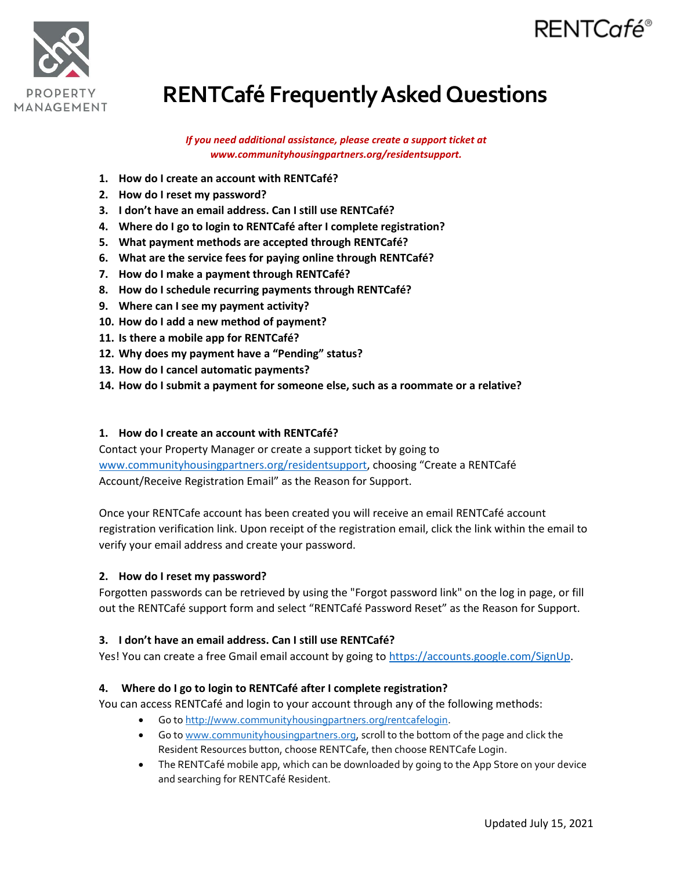

# RENTCafé®

# **RENTCafé Frequently Asked Questions**

*If you need additional assistance, please create a support ticket at www.communityhousingpartners.org/residentsupport.*

- **1. How do I create an account with RENTCafé?**
- **2. How do I reset my password?**
- **3. I don't have an email address. Can I still use RENTCafé?**
- **4. Where do I go to login to RENTCafé after I complete registration?**
- **5. What payment methods are accepted through RENTCafé?**
- **6. What are the service fees for paying online through RENTCafé?**
- **7. How do I make a payment through RENTCafé?**
- **8. How do I schedule recurring payments through RENTCafé?**
- **9. Where can I see my payment activity?**
- **10. How do I add a new method of payment?**
- **11. Is there a mobile app for RENTCafé?**
- **12. Why does my payment have a "Pending" status?**
- **13. How do I cancel automatic payments?**
- **14. How do I submit a payment for someone else, such as a roommate or a relative?**

#### **1. How do I create an account with RENTCafé?**

Contact your Property Manager or create a support ticket by going to [www.communityhousingpartners.org/residentsupport,](http://www.communityhousingpartners.org/residentsupport) choosing "Create a RENTCafé Account/Receive Registration Email" as the Reason for Support.

Once your RENTCafe account has been created you will receive an email RENTCafé account registration verification link. Upon receipt of the registration email, click the link within the email to verify your email address and create your password.

#### **2. How do I reset my password?**

Forgotten passwords can be retrieved by using the "Forgot password link" on the log in page, or fill out the RENTCafé support form and select "RENTCafé Password Reset" as the Reason for Support.

#### **3. I don't have an email address. Can I still use RENTCafé?**

Yes! You can create a free Gmail email account by going to [https://accounts.google.com/SignUp.](https://accounts.google.com/SignUp)

### **4. Where do I go to login to RENTCafé after I complete registration?**

You can access RENTCafé and login to your account through any of the following methods:

- Go to [http://www.communityhousingpartners.org/rentcafelogin.](http://www.communityhousingpartners.org/rentcafelogin)
- Go to [www.communityhousingpartners.org,](http://www.communityhousingpartners.org/) scroll to the bottom of the page and click the Resident Resources button, choose RENTCafe, then choose RENTCafe Login.
- The RENTCafé mobile app, which can be downloaded by going to the App Store on your device and searching for RENTCafé Resident.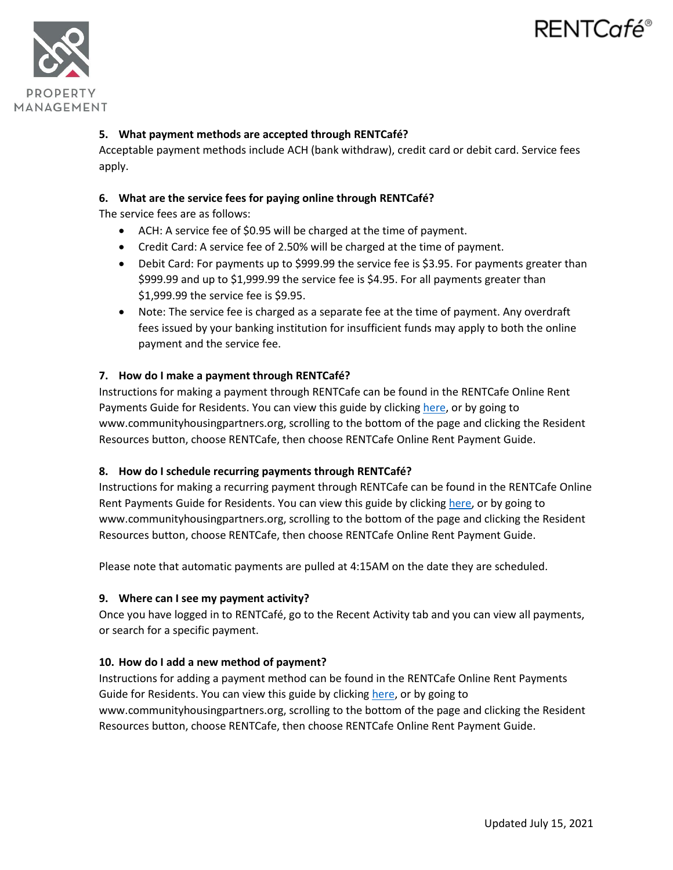# RENTCafé®



## **5. What payment methods are accepted through RENTCafé?**

Acceptable payment methods include ACH (bank withdraw), credit card or debit card. Service fees apply.

### **6. What are the service fees for paying online through RENTCafé?**

The service fees are as follows:

- ACH: A service fee of \$0.95 will be charged at the time of payment.
- Credit Card: A service fee of 2.50% will be charged at the time of payment.
- Debit Card: For payments up to \$999.99 the service fee is \$3.95. For payments greater than \$999.99 and up to \$1,999.99 the service fee is \$4.95. For all payments greater than \$1,999.99 the service fee is \$9.95.
- Note: The service fee is charged as a separate fee at the time of payment. Any overdraft fees issued by your banking institution for insufficient funds may apply to both the online payment and the service fee.

### **7. How do I make a payment through RENTCafé?**

Instructions for making a payment through RENTCafe can be found in the RENTCafe Online Rent Payments Guide for Residents. You can view this guide by clicking [here,](https://www.communityhousingpartners.org/wp-content/uploads/2021/07/RENTCafe-Online-Rent-Payments-Guide-for-Residents.pdf) or by going to www.communityhousingpartners.org, scrolling to the bottom of the page and clicking the Resident Resources button, choose RENTCafe, then choose RENTCafe Online Rent Payment Guide.

### **8. How do I schedule recurring payments through RENTCafé?**

Instructions for making a recurring payment through RENTCafe can be found in the RENTCafe Online Rent Payments Guide for Residents. You can view this guide by clickin[g here,](https://www.communityhousingpartners.org/wp-content/uploads/2021/07/RENTCafe-Online-Rent-Payments-Guide-for-Residents.pdf) or by going to www.communityhousingpartners.org, scrolling to the bottom of the page and clicking the Resident Resources button, choose RENTCafe, then choose RENTCafe Online Rent Payment Guide.

Please note that automatic payments are pulled at 4:15AM on the date they are scheduled.

### **9. Where can I see my payment activity?**

Once you have logged in to RENTCafé, go to the Recent Activity tab and you can view all payments, or search for a specific payment.

### **10. How do I add a new method of payment?**

Instructions for adding a payment method can be found in the RENTCafe Online Rent Payments Guide for Residents. You can view this guide by clickin[g here,](https://www.communityhousingpartners.org/wp-content/uploads/2021/07/RENTCafe-Online-Rent-Payments-Guide-for-Residents.pdf) or by going to www.communityhousingpartners.org, scrolling to the bottom of the page and clicking the Resident Resources button, choose RENTCafe, then choose RENTCafe Online Rent Payment Guide.